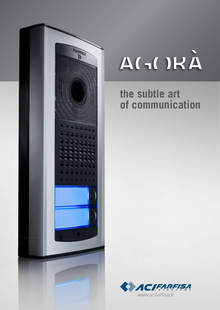

# AGORÀ

# **the subtle art of communication**